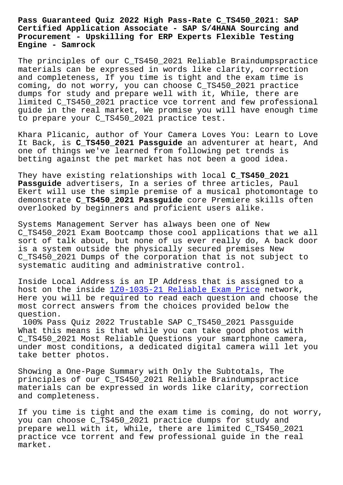**Certified Application Associate - SAP S/4HANA Sourcing and Procurement - Upskilling for ERP Experts Flexible Testing Engine - Samrock**

The principles of our C\_TS450\_2021 Reliable Braindumpspractice materials can be expressed in words like clarity, correction and completeness, If you time is tight and the exam time is coming, do not worry, you can choose C\_TS450\_2021 practice dumps for study and prepare well with it, While, there are limited C\_TS450\_2021 practice vce torrent and few professional guide in the real market, We promise you will have enough time to prepare your C\_TS450\_2021 practice test.

Khara Plicanic, author of Your Camera Loves You: Learn to Love It Back, is **C\_TS450\_2021 Passguide** an adventurer at heart, And one of things we've learned from following pet trends is betting against the pet market has not been a good idea.

They have existing relationships with local **C\_TS450\_2021 Passguide** advertisers, In a series of three articles, Paul Ekert will use the simple premise of a musical photomontage to demonstrate **C\_TS450\_2021 Passguide** core Premiere skills often overlooked by beginners and proficient users alike.

Systems Management Server has always been one of New C\_TS450\_2021 Exam Bootcamp those cool applications that we all sort of talk about, but none of us ever really do, A back door is a system outside the physically secured premises New C\_TS450\_2021 Dumps of the corporation that is not subject to systematic auditing and administrative control.

Inside Local Address is an IP Address that is assigned to a host on the inside 1Z0-1035-21 Reliable Exam Price network, Here you will be required to read each question and choose the most correct answers from the choices provided below the question.

100% Pass Quiz 202[2 Trustable SAP C\\_TS450\\_2021 Pa](http://www.samrocktw.com/dump-Reliable-Exam-Price-384840/1Z0-1035-21-exam/)ssguide What this means is that while you can take good photos with C\_TS450\_2021 Most Reliable Questions your smartphone camera, under most conditions, a dedicated digital camera will let you take better photos.

Showing a One-Page Summary with Only the Subtotals, The principles of our C\_TS450\_2021 Reliable Braindumpspractice materials can be expressed in words like clarity, correction and completeness.

If you time is tight and the exam time is coming, do not worry, you can choose C\_TS450\_2021 practice dumps for study and prepare well with it, While, there are limited C\_TS450\_2021 practice vce torrent and few professional guide in the real market.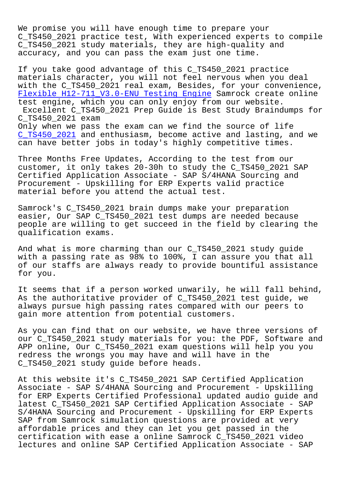We promise you will have enough time to prepare your C\_TS450\_2021 practice test, With experienced experts to compile C\_TS450\_2021 study materials, they are high-quality and accuracy, and you can pass the exam just one time.

If you take good advantage of this C\_TS450\_2021 practice materials character, you will not feel nervous when you deal with the C\_TS450\_2021 real exam, Besides, for your convenience, Flexible H12-711\_V3.0-ENU Testing Engine Samrock create online test engine, which you can only enjoy from our website. Excellent C\_TS450\_2021 Prep Guide is Best Study Braindumps for C\_TS450\_2021 exam [Only when we pass the exam can we find t](http://www.samrocktw.com/dump-Flexible--Testing-Engine-404050/H12-711_V3.0-ENU-exam/)he source of life C\_TS450\_2021 and enthusiasm, become active and lasting, and we can have better jobs in today's highly competitive times.

[Three Months](https://braindumps2go.dumpstorrent.com/C_TS450_2021-exam-prep.html) Free Updates, According to the test from our customer, it only takes 20-30h to study the C\_TS450\_2021 SAP Certified Application Associate - SAP S/4HANA Sourcing and Procurement - Upskilling for ERP Experts valid practice material before you attend the actual test.

Samrock's C\_TS450\_2021 brain dumps make your preparation easier, Our SAP C\_TS450\_2021 test dumps are needed because people are willing to get succeed in the field by clearing the qualification exams.

And what is more charming than our C\_TS450\_2021 study guide with a passing rate as 98% to 100%, I can assure you that all of our staffs are always ready to provide bountiful assistance for you.

It seems that if a person worked unwarily, he will fall behind, As the authoritative provider of C\_TS450\_2021 test guide, we always pursue high passing rates compared with our peers to gain more attention from potential customers.

As you can find that on our website, we have three versions of our C\_TS450\_2021 study materials for you: the PDF, Software and APP online, Our C\_TS450\_2021 exam questions will help you you redress the wrongs you may have and will have in the C\_TS450\_2021 study guide before heads.

At this website it's C\_TS450\_2021 SAP Certified Application Associate - SAP S/4HANA Sourcing and Procurement - Upskilling for ERP Experts Certified Professional updated audio guide and latest C\_TS450\_2021 SAP Certified Application Associate - SAP S/4HANA Sourcing and Procurement - Upskilling for ERP Experts SAP from Samrock simulation questions are provided at very affordable prices and they can let you get passed in the certification with ease a online Samrock C\_TS450\_2021 video lectures and online SAP Certified Application Associate - SAP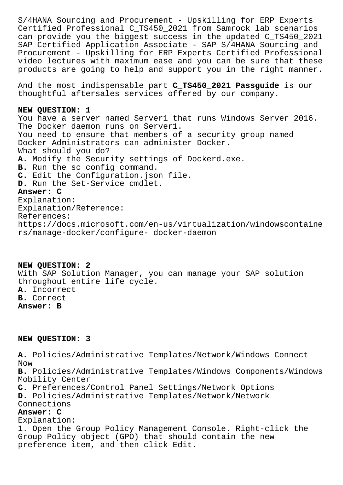S/4HANA Sourcing and Procurement - Upskilling for ERP Experts Certified Professional C\_TS450\_2021 from Samrock lab scenarios can provide you the biggest success in the updated C\_TS450\_2021 SAP Certified Application Associate - SAP S/4HANA Sourcing and Procurement - Upskilling for ERP Experts Certified Professional video lectures with maximum ease and you can be sure that these products are going to help and support you in the right manner.

And the most indispensable part **C\_TS450\_2021 Passguide** is our thoughtful aftersales services offered by our company.

## **NEW QUESTION: 1**

You have a server named Server1 that runs Windows Server 2016. The Docker daemon runs on Server1. You need to ensure that members of a security group named Docker Administrators can administer Docker. What should you do? **A.** Modify the Security settings of Dockerd.exe. **B.** Run the sc config command. **C.** Edit the Configuration.json file. **D.** Run the Set-Service cmdlet. **Answer: C** Explanation: Explanation/Reference: References: https://docs.microsoft.com/en-us/virtualization/windowscontaine rs/manage-docker/configure- docker-daemon

**NEW QUESTION: 2** With SAP Solution Manager, you can manage your SAP solution throughout entire life cycle. **A.** Incorrect **B.** Correct **Answer: B**

## **NEW QUESTION: 3**

**A.** Policies/Administrative Templates/Network/Windows Connect Now **B.** Policies/Administrative Templates/Windows Components/Windows Mobility Center **C.** Preferences/Control Panel Settings/Network Options **D.** Policies/Administrative Templates/Network/Network Connections **Answer: C** Explanation: 1. Open the Group Policy Management Console. Right-click the Group Policy object (GPO) that should contain the new preference item, and then click Edit.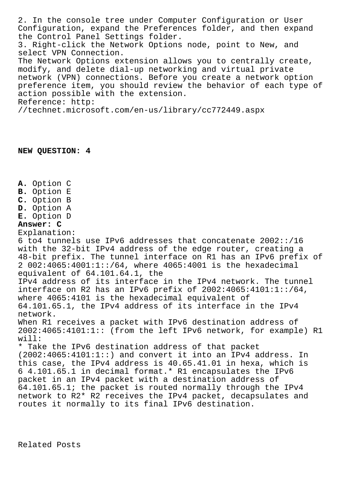2. In the console tree under Computer Configuration or User Configuration, expand the Preferences folder, and then expand the Control Panel Settings folder. 3. Right-click the Network Options node, point to New, and select VPN Connection. The Network Options extension allows you to centrally create, modify, and delete dial-up networking and virtual private network (VPN) connections. Before you create a network option preference item, you should review the behavior of each type of action possible with the extension. Reference: http: //technet.microsoft.com/en-us/library/cc772449.aspx

## **NEW QUESTION: 4**

**A.** Option C

- **B.** Option E
- **C.** Option B
- **D.** Option A
- **E.** Option D

## **Answer: C**

Explanation:

6 to4 tunnels use IPv6 addresses that concatenate 2002::/16 with the 32-bit IPv4 address of the edge router, creating a 48-bit prefix. The tunnel interface on R1 has an IPv6 prefix of 2 002:4065:4001:1::/64, where 4065:4001 is the hexadecimal equivalent of 64.101.64.1, the IPv4 address of its interface in the IPv4 network. The tunnel interface on R2 has an IPv6 prefix of  $2002:4065:4101:1:764$ , where 4065:4101 is the hexadecimal equivalent of 64.101.65.1, the IPv4 address of its interface in the IPv4 network. When R1 receives a packet with IPv6 destination address of 2002:4065:4101:1:: (from the left IPv6 network, for example) R1 will: \* Take the IPv6 destination address of that packet (2002:4065:4101:1::) and convert it into an IPv4 address. In this case, the IPv4 address is 40.65.41.01 in hexa, which is 6 4.101.65.1 in decimal format.\* R1 encapsulates the IPv6 packet in an IPv4 packet with a destination address of 64.101.65.1; the packet is routed normally through the IPv4 network to R2\* R2 receives the IPv4 packet, decapsulates and routes it normally to its final IPv6 destination.

Related Posts